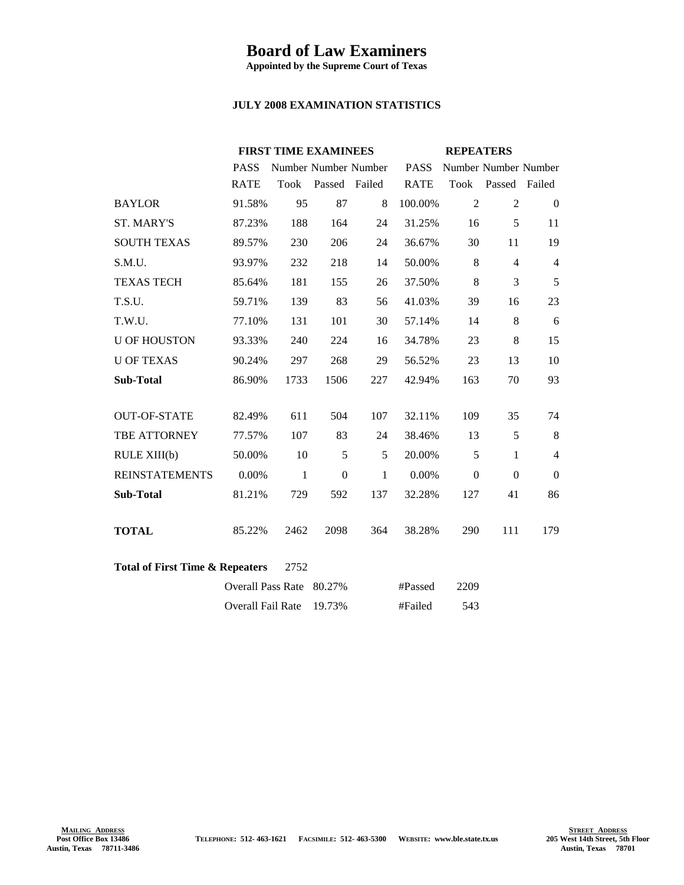## **Board of Law Examiners**

**Appointed by the Supreme Court of Texas**

## **JULY 2008 EXAMINATION STATISTICS**

|                                                    | <b>FIRST TIME EXAMINEES</b> |              |                      | <b>REPEATERS</b> |             |                      |                |                |
|----------------------------------------------------|-----------------------------|--------------|----------------------|------------------|-------------|----------------------|----------------|----------------|
|                                                    | <b>PASS</b>                 |              | Number Number Number |                  | <b>PASS</b> | Number Number Number |                |                |
|                                                    | <b>RATE</b>                 |              | Took Passed Failed   |                  | <b>RATE</b> | Took                 | Passed Failed  |                |
| <b>BAYLOR</b>                                      | 91.58%                      | 95           | 87                   | 8                | 100.00%     | $\overline{2}$       | 2              | $\overline{0}$ |
| <b>ST. MARY'S</b>                                  | 87.23%                      | 188          | 164                  | 24               | 31.25%      | 16                   | 5              | 11             |
| <b>SOUTH TEXAS</b>                                 | 89.57%                      | 230          | 206                  | 24               | 36.67%      | 30                   | 11             | 19             |
| S.M.U.                                             | 93.97%                      | 232          | 218                  | 14               | 50.00%      | 8                    | $\overline{4}$ | $\overline{4}$ |
| <b>TEXAS TECH</b>                                  | 85.64%                      | 181          | 155                  | 26               | 37.50%      | 8                    | 3              | 5              |
| T.S.U.                                             | 59.71%                      | 139          | 83                   | 56               | 41.03%      | 39                   | 16             | 23             |
| T.W.U.                                             | 77.10%                      | 131          | 101                  | 30               | 57.14%      | 14                   | 8              | 6              |
| <b>U OF HOUSTON</b>                                | 93.33%                      | 240          | 224                  | 16               | 34.78%      | 23                   | 8              | 15             |
| <b>U OF TEXAS</b>                                  | 90.24%                      | 297          | 268                  | 29               | 56.52%      | 23                   | 13             | 10             |
| <b>Sub-Total</b>                                   | 86.90%                      | 1733         | 1506                 | 227              | 42.94%      | 163                  | 70             | 93             |
|                                                    |                             |              |                      |                  |             |                      |                |                |
| <b>OUT-OF-STATE</b>                                | 82.49%                      | 611          | 504                  | 107              | 32.11%      | 109                  | 35             | 74             |
| TBE ATTORNEY                                       | 77.57%                      | 107          | 83                   | 24               | 38.46%      | 13                   | 5              | 8              |
| RULE XIII(b)                                       | 50.00%                      | 10           | 5                    | 5                | 20.00%      | 5                    | $\mathbf{1}$   | $\overline{4}$ |
| <b>REINSTATEMENTS</b>                              | 0.00%                       | $\mathbf{1}$ | $\theta$             | $\mathbf{1}$     | 0.00%       | $\mathbf{0}$         | $\Omega$       | $\theta$       |
| <b>Sub-Total</b>                                   | 81.21%                      | 729          | 592                  | 137              | 32.28%      | 127                  | 41             | 86             |
|                                                    |                             |              |                      |                  |             |                      |                |                |
| <b>TOTAL</b>                                       | 85.22%                      | 2462         | 2098                 | 364              | 38.28%      | 290                  | 111            | 179            |
|                                                    |                             |              |                      |                  |             |                      |                |                |
| <b>Total of First Time &amp; Repeaters</b><br>2752 |                             |              |                      |                  |             |                      |                |                |
|                                                    | <b>Overall Pass Rate</b>    |              | 80.27%               |                  | #Passed     | 2209                 |                |                |
|                                                    | Overall Fail Rate           |              | 19.73%               |                  | #Failed     | 543                  |                |                |